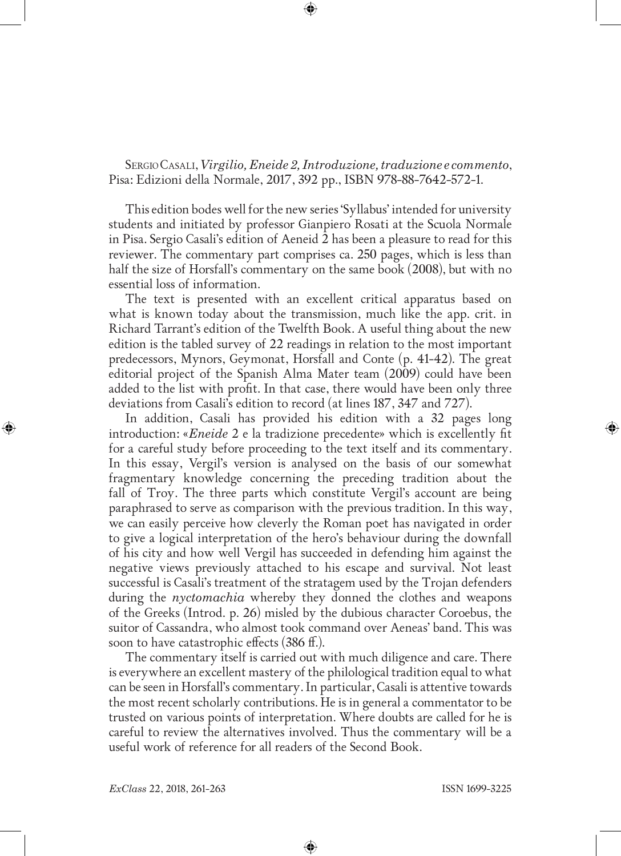Sergio Casali, *Virgilio, Eneide 2, Introduzione, traduzione e commento*, Pisa: Edizioni della Normale, 2017, 392 pp., ISBN 978-88-7642-572-1.

This edition bodes well for the new series 'Syllabus' intended for university students and initiated by professor Gianpiero Rosati at the Scuola Normale in Pisa. Sergio Casali's edition of Aeneid 2 has been a pleasure to read for this reviewer. The commentary part comprises ca. 250 pages, which is less than half the size of Horsfall's commentary on the same book (2008), but with no essential loss of information.

The text is presented with an excellent critical apparatus based on what is known today about the transmission, much like the app. crit. in Richard Tarrant's edition of the Twelfth Book. A useful thing about the new edition is the tabled survey of 22 readings in relation to the most important predecessors, Mynors, Geymonat, Horsfall and Conte (p. 41-42). The great editorial project of the Spanish Alma Mater team (2009) could have been added to the list with profit. In that case, there would have been only three deviations from Casali's edition to record (at lines 187, 347 and 727).

In addition, Casali has provided his edition with a 32 pages long introduction: «*Eneide* 2 e la tradizione precedente» which is excellently fit for a careful study before proceeding to the text itself and its commentary. In this essay, Vergil's version is analysed on the basis of our somewhat fragmentary knowledge concerning the preceding tradition about the fall of Troy. The three parts which constitute Vergil's account are being paraphrased to serve as comparison with the previous tradition. In this way, we can easily perceive how cleverly the Roman poet has navigated in order to give a logical interpretation of the hero's behaviour during the downfall of his city and how well Vergil has succeeded in defending him against the negative views previously attached to his escape and survival. Not least successful is Casali's treatment of the stratagem used by the Trojan defenders during the *nyctomachia* whereby they donned the clothes and weapons of the Greeks (Introd. p. 26) misled by the dubious character Coroebus, the suitor of Cassandra, who almost took command over Aeneas' band. This was soon to have catastrophic effects (386 ff.).

The commentary itself is carried out with much diligence and care. There is everywhere an excellent mastery of the philological tradition equal to what can be seen in Horsfall's commentary. In particular, Casali is attentive towards the most recent scholarly contributions. He is in general a commentator to be trusted on various points of interpretation. Where doubts are called for he is careful to review the alternatives involved. Thus the commentary will be a useful work of reference for all readers of the Second Book.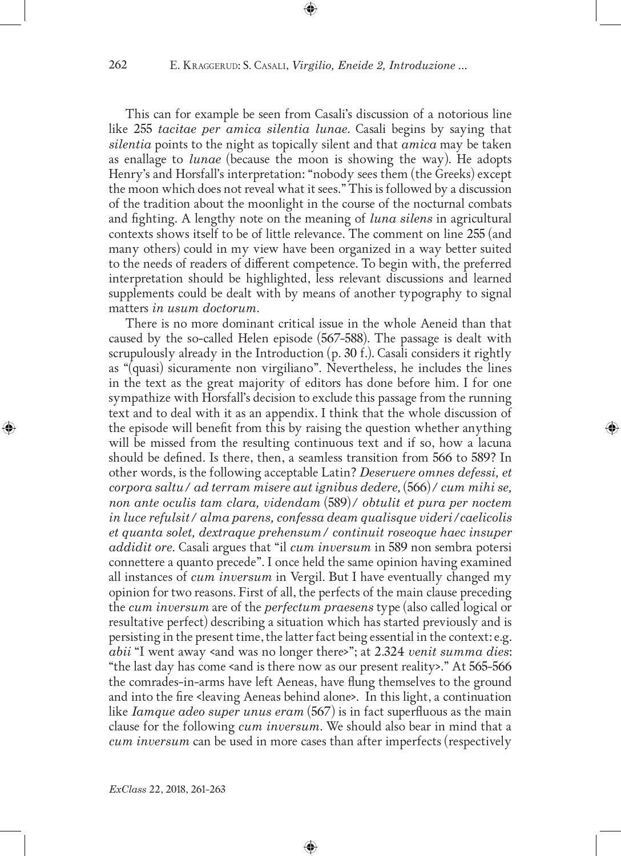This can for example be seen from Casali's discussion of a notorious line like 255 *tacitae per amica silentia lunae*. Casali begins by saying that *silentia* points to the night as topically silent and that *amica* may be taken as enallage to *lunae* (because the moon is showing the way). He adopts Henry's and Horsfall's interpretation: "nobody sees them (the Greeks) except the moon which does not reveal what it sees." This is followed by a discussion of the tradition about the moonlight in the course of the nocturnal combats and fighting. A lengthy note on the meaning of *luna silens* in agricultural contexts shows itself to be of little relevance. The comment on line 255 (and many others) could in my view have been organized in a way better suited to the needs of readers of different competence. To begin with, the preferred interpretation should be highlighted, less relevant discussions and learned supplements could be dealt with by means of another typography to signal matters *in usum doctorum*.

There is no more dominant critical issue in the whole Aeneid than that caused by the so-called Helen episode (567-588). The passage is dealt with scrupulously already in the Introduction  $(p. 30 f.)$ . Casali considers it rightly as "(quasi) sicuramente non virgiliano". Nevertheless, he includes the lines in the text as the great majority of editors has done before him. I for one sympathize with Horsfall's decision to exclude this passage from the running text and to deal with it as an appendix. I think that the whole discussion of the episode will benefit from this by raising the question whether anything will be missed from the resulting continuous text and if so, how a lacuna should be defined. Is there, then, a seamless transition from 566 to 589? In other words, is the following acceptable Latin? *Deseruere omnes defessi, et corpora saltu/ ad terram misere aut ignibus dedere,* (566)*/ cum mihi se, non ante oculis tam clara, videndam* (589)*/ obtulit et pura per noctem in luce refulsit/ alma parens, confessa deam qualisque videri/caelicolis et quanta solet, dextraque prehensum/ continuit roseoque haec insuper addidit ore.* Casali argues that "il *cum inversum* in 589 non sembra potersi connettere a quanto precede". I once held the same opinion having examined all instances of *cum inversum* in Vergil. But I have eventually changed my opinion for two reasons. First of all, the perfects of the main clause preceding the *cum inversum* are of the *perfectum praesens* type (also called logical or resultative perfect) describing a situation which has started previously and is persisting in the present time, the latter fact being essential in the context: e.g. *abii* "I went away <and was no longer there>"; at 2.324 *venit summa dies*: "the last day has come <and is there now as our present reality>." At  $565-566$ the comrades-in-arms have left Aeneas, have flung themselves to the ground and into the fire <leaving Aeneas behind alone>. In this light, a continuation like *Iamque adeo super unus eram* (567) is in fact superfluous as the main clause for the following *cum inversum*. We should also bear in mind that a *cum inversum* can be used in more cases than after imperfects (respectively